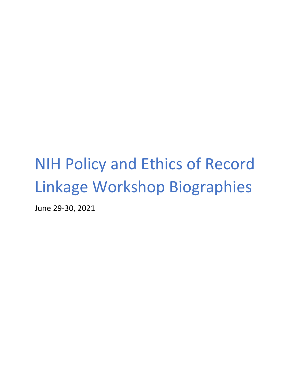# NIH Policy and Ethics of Record Linkage Workshop Biographies

June 29-30, 2021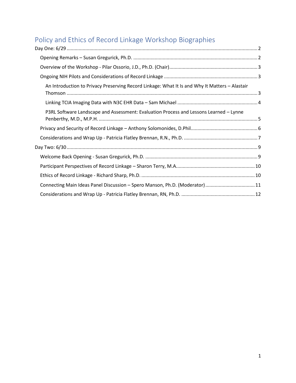# Policy and Ethics of Record Linkage Workshop Biographies

| An Introduction to Privacy Preserving Record Linkage: What It Is and Why It Matters - Alastair |  |
|------------------------------------------------------------------------------------------------|--|
|                                                                                                |  |
| P3RL Software Landscape and Assessment: Evaluation Process and Lessons Learned - Lynne         |  |
|                                                                                                |  |
|                                                                                                |  |
|                                                                                                |  |
|                                                                                                |  |
|                                                                                                |  |
|                                                                                                |  |
| Connecting Main Ideas Panel Discussion - Spero Manson, Ph.D. (Moderator)11                     |  |
|                                                                                                |  |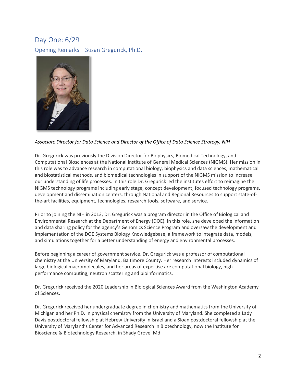# <span id="page-2-0"></span>Day One: 6/29

<span id="page-2-1"></span>Opening Remarks – Susan Gregurick, Ph.D.



#### *Associate Director for Data Science and Director of the Office of Data Science Strategy, NIH*

Dr. Gregurick was previously the Division Director for Biophysics, Biomedical Technology, and Computational Biosciences at the National Institute of General Medical Sciences (NIGMS). Her mission in this role was to advance research in computational biology, biophysics and data sciences, mathematical and biostatistical methods, and biomedical technologies in support of the NIGMS mission to increase our understanding of life processes. In this role Dr. Gregurick led the institutes effort to reimagine the NIGMS technology programs including early stage, concept development, focused technology programs, development and dissemination centers, through National and Regional Resources to support state-ofthe-art facilities, equipment, technologies, research tools, software, and service.

Prior to joining the NIH in 2013, Dr. Gregurick was a program director in the Office of Biological and Environmental Research at the Department of Energy (DOE). In this role, she developed the information and data sharing policy for the agency's Genomics Science Program and oversaw the development and implementation of the DOE Systems Biology Knowledgebase, a framework to integrate data, models, and simulations together for a better understanding of energy and environmental processes.

Before beginning a career of government service, Dr. Gregurick was a professor of computational chemistry at the University of Maryland, Baltimore County. Her research interests included dynamics of large biological macromolecules, and her areas of expertise are computational biology, high performance computing, neutron scattering and bioinformatics.

Dr. Gregurick received the 2020 Leadership in Biological Sciences Award from the Washington Academy of Sciences.

Dr. Gregurick received her undergraduate degree in chemistry and mathematics from the University of Michigan and her Ph.D. in physical chemistry from the University of Maryland. She completed a Lady Davis postdoctoral fellowship at Hebrew University in Israel and a Sloan postdoctoral fellowship at the University of Maryland's Center for Advanced Research in Biotechnology, now the Institute for Bioscience & Biotechnology Research, in Shady Grove, Md.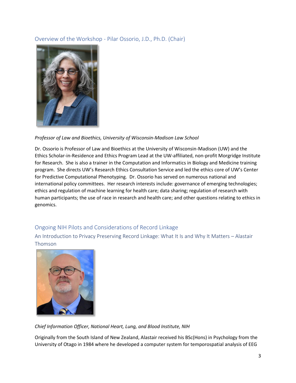### <span id="page-3-0"></span>Overview of the Workshop - Pilar Ossorio, J.D., Ph.D. (Chair)



#### *Professor of Law and Bioethics, University of Wisconsin-Madison Law School*

Dr. Ossorio is Professor of Law and Bioethics at the University of Wisconsin-Madison (UW) and the Ethics Scholar-in-Residence and Ethics Program Lead at the UW-affiliated, non-profit Morgridge Institute for Research. She is also a trainer in the Computation and Informatics in Biology and Medicine training program. She directs UW's Research Ethics Consultation Service and led the ethics core of UW's Center for Predictive Computational Phenotyping. Dr. Ossorio has served on numerous national and international policy committees. Her research interests include: governance of emerging technologies; ethics and regulation of machine learning for health care; data sharing; regulation of research with human participants; the use of race in research and health care; and other questions relating to ethics in genomics.

#### <span id="page-3-1"></span>Ongoing NIH Pilots and Considerations of Record Linkage

<span id="page-3-2"></span>An Introduction to Privacy Preserving Record Linkage: What It Is and Why It Matters – Alastair Thomson



*Chief Information Officer, National Heart, Lung, and Blood Institute, NIH*

Originally from the South Island of New Zealand, Alastair received his BSc(Hons) in Psychology from the University of Otago in 1984 where he developed a computer system for temporospatial analysis of EEG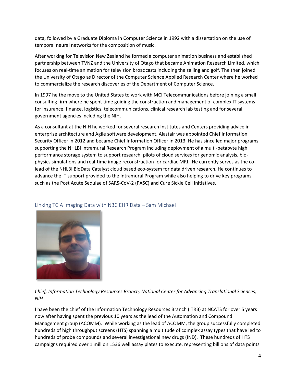data, followed by a Graduate Diploma in Computer Science in 1992 with a dissertation on the use of temporal neural networks for the composition of music.

After working for Television New Zealand he formed a computer animation business and established partnership between TVNZ and the University of Otago that became Animation Research Limited, which focuses on real-time animation for television broadcasts including the sailing and golf. The then joined the University of Otago as Director of the Computer Science Applied Research Center where he worked to commercialize the research discoveries of the Department of Computer Science.

In 1997 he the move to the United States to work with MCI Telecommunications before joining a small consulting firm where he spent time guiding the construction and management of complex IT systems for insurance, finance, logistics, telecommunications, clinical research lab testing and for several government agencies including the NIH.

As a consultant at the NIH he worked for several research Institutes and Centers providing advice in enterprise architecture and Agile software development. Alastair was appointed Chief Information Security Officer in 2012 and became Chief Information Officer in 2013. He has since led major programs supporting the NHLBI Intramural Research Program including deployment of a multi-petabyte high performance storage system to support research, pilots of cloud services for genomic analysis, biophysics simulations and real-time image reconstruction for cardiac MRI. He currently serves as the colead of the NHLBI BioData Catalyst cloud based eco-system for data driven research. He continues to advance the IT support provided to the Intramural Program while also helping to drive key programs such as the Post Acute Sequlae of SARS-CoV-2 (PASC) and Cure Sickle Cell Initiatives.



#### <span id="page-4-0"></span>Linking TCIA Imaging Data with N3C EHR Data – Sam Michael

*Chief, Information Technology Resources Branch, National Center for Advancing Translational Sciences, NIH*

I have been the chief of the Information Technology Resources Branch (ITRB) at NCATS for over 5 years now after having spent the previous 10 years as the lead of the Automation and Compound Management group (ACOMM). While working as the lead of ACOMM, the group successfully completed hundreds of high throughput screens (HTS) spanning a multitude of complex assay types that have led to hundreds of probe compounds and several investigational new drugs (IND). These hundreds of HTS campaigns required over 1 million 1536 well assay plates to execute, representing billions of data points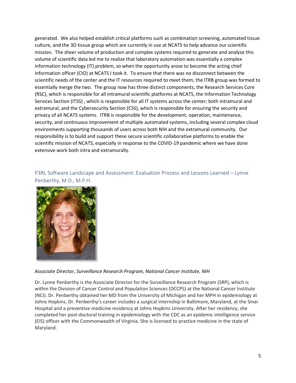generated. We also helped establish critical platforms such as combination screening, automated tissue culture, and the 3D tissue group which are currently in use at NCATS to help advance our scientific mission. The sheer volume of production and complex systems required to generate and analyze this volume of scientific data led me to realize that laboratory automation was essentially a complex information technology (IT) problem, so when the opportunity arose to become the acting chief information officer (CIO) at NCATS I took it. To ensure that there was no disconnect between the scientific needs of the center and the IT resources required to meet them, the ITRB group was formed to essentially merge the two. The group now has three distinct components, the Research Services Core (RSC), which is responsible for all intramural scientific platforms at NCATS, the Information Technology Services Section (ITSS) , which is responsible for all IT systems across the center; both intramural and extramural, and the Cybersecurity Section (CSS), which is responsible for ensuring the security and privacy of all NCATS systems. ITRB is responsible for the development, operation, maintenance, security, and continuous improvement of multiple automated systems, including several complex cloud environments supporting thousands of users across both NIH and the extramural community. Our responsibility is to build and support these secure scientific collaborative platforms to enable the scientific mission of NCATS, especially in response to the COVID-19 pandemic where we have done extensive work both intra and extramurally.

<span id="page-5-0"></span>P3RL Software Landscape and Assessment: Evaluation Process and Lessons Learned – Lynne Penberthy, M.D., M.P.H.



*Associate Director, Surveillance Research Program, National Cancer Institute, NIH*

Dr. Lynne Penberthy is the Associate Director for the Surveillance Research Program (SRP), which is within the Division of Cancer Control and Population Sciences (DCCPS) at the National Cancer Institute (NCI). Dr. Penberthy obtained her MD from the University of Michigan and her MPH in epidemiology at Johns Hopkins. Dr. Penberthy's career includes a surgical internship in Baltimore, Maryland, at the Sinai Hospital and a preventive medicine residency at Johns Hopkins University. After her residency, she completed her post-doctoral training in epidemiology with the CDC as an epidemic intelligence service (EIS) officer with the Commonwealth of Virginia. She is licensed to practice medicine in the state of Maryland.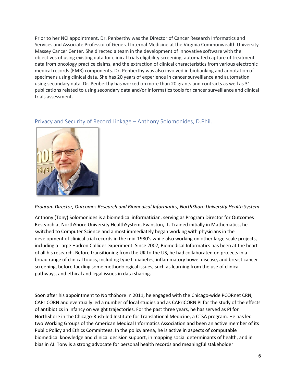Prior to her NCI appointment, Dr. Penberthy was the Director of Cancer Research Informatics and Services and Associate Professor of General Internal Medicine at the Virginia Commonwealth University Massey Cancer Center. She directed a team in the development of innovative software with the objectives of using existing data for clinical trials eligibility screening, automated capture of treatment data from oncology practice claims, and the extraction of clinical characteristics from various electronic medical records (EMR) components. Dr. Penberthy was also involved in biobanking and annotation of specimens using clinical data. She has 20 years of experience in cancer surveillance and automation using secondary data. Dr. Penberthy has worked on more than 20 grants and contracts as well as 31 publications related to using secondary data and/or informatics tools for cancer surveillance and clinical trials assessment.

#### <span id="page-6-0"></span>Privacy and Security of Record Linkage – Anthony Solomonides, D.Phil.

#### *Program Director, Outcomes Research and Biomedical Informatics, NorthShore University Health System*

Anthony (Tony) Solomonides is a biomedical informatician, serving as Program Director for Outcomes Research at NorthShore University HealthSystem, Evanston, IL. Trained initially in Mathematics, he switched to Computer Science and almost immediately began working with physicians in the development of clinical trial records in the mid-1980's while also working on other large-scale projects, including a Large Hadron Collider experiment. Since 2002, Biomedical Informatics has been at the heart of all his research. Before transitioning from the UK to the US, he had collaborated on projects in a broad range of clinical topics, including type II diabetes, inflammatory bowel disease, and breast cancer screening, before tackling some methodological issues, such as learning from the use of clinical pathways, and ethical and legal issues in data sharing.

Soon after his appointment to NorthShore in 2011, he engaged with the Chicago-wide PCORnet CRN, CAPriCORN and eventually led a number of local studies and as CAPriCORN PI for the study of the effects of antibiotics in infancy on weight trajectories. For the past three years, he has served as PI for NorthShore in the Chicago-Rush-led Institute for Translational Medicine, a CTSA program. He has led two Working Groups of the American Medical Informatics Association and been an active member of its Public Policy and Ethics Committees. In the policy arena, he is active in aspects of computable biomedical knowledge and clinical decision support, in mapping social determinants of health, and in bias in AI. Tony is a strong advocate for personal health records and meaningful stakeholder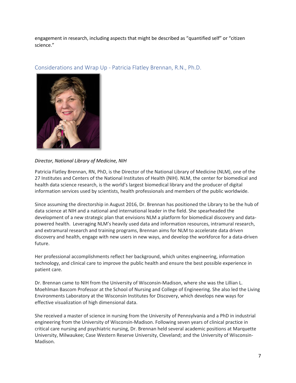engagement in research, including aspects that might be described as "quantified self" or "citizen science."



<span id="page-7-0"></span>Considerations and Wrap Up - Patricia Flatley Brennan, R.N., Ph.D.

#### *Director, National Library of Medicine, NIH*

Patricia Flatley Brennan, RN, PhD, is the Director of the National Library of Medicine (NLM), one of the 27 Institutes and Centers of the National Institutes of Health (NIH). NLM, the center for biomedical and health data science research, is the world's largest biomedical library and the producer of digital information services used by scientists, health professionals and members of the public worldwide.

Since assuming the directorship in August 2016, Dr. Brennan has positioned the Library to be the hub of data science at NIH and a national and international leader in the field. She spearheaded the development of a new strategic plan that envisions NLM a platform for biomedical discovery and datapowered health. Leveraging NLM's heavily used data and information resources, intramural research, and extramural research and training programs, Brennan aims for NLM to accelerate data driven discovery and health, engage with new users in new ways, and develop the workforce for a data-driven future.

Her professional accomplishments reflect her background, which unites engineering, information technology, and clinical care to improve the public health and ensure the best possible experience in patient care.

Dr. Brennan came to NIH from the University of Wisconsin-Madison, where she was the Lillian L. Moehlman Bascom Professor at the School of Nursing and College of Engineering. She also led the Living Environments Laboratory at the Wisconsin Institutes for Discovery, which develops new ways for effective visualization of high dimensional data.

She received a master of science in nursing from the University of Pennsylvania and a PhD in industrial engineering from the University of Wisconsin-Madison. Following seven years of clinical practice in critical care nursing and psychiatric nursing, Dr. Brennan held several academic positions at Marquette University, Milwaukee; Case Western Reserve University, Cleveland; and the University of Wisconsin-Madison.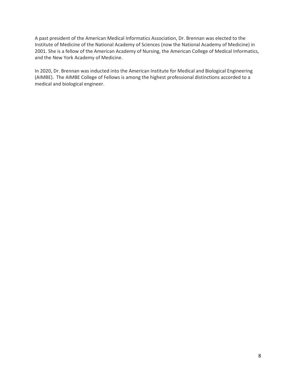A past president of the American Medical Informatics Association, Dr. Brennan was elected to the Institute of Medicine of the National Academy of Sciences (now the National Academy of Medicine) in 2001. She is a fellow of the American Academy of Nursing, the American College of Medical Informatics, and the New York Academy of Medicine.

In 2020, Dr. Brennan was inducted into the American Institute for Medical and Biological Engineering (AIMBE). The AIMBE College of Fellows is among the highest professional distinctions accorded to a medical and biological engineer.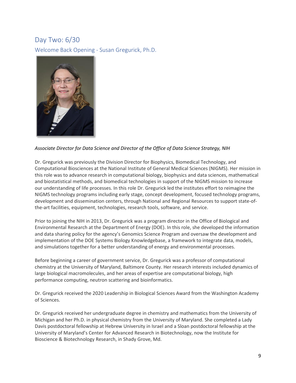## <span id="page-9-0"></span>Day Two: 6/30

<span id="page-9-1"></span>Welcome Back Opening - Susan Gregurick, Ph.D.



*Associate Director for Data Science and Director of the Office of Data Science Strategy, NIH*

Dr. Gregurick was previously the Division Director for Biophysics, Biomedical Technology, and Computational Biosciences at the National Institute of General Medical Sciences (NIGMS). Her mission in this role was to advance research in computational biology, biophysics and data sciences, mathematical and biostatistical methods, and biomedical technologies in support of the NIGMS mission to increase our understanding of life processes. In this role Dr. Gregurick led the institutes effort to reimagine the NIGMS technology programs including early stage, concept development, focused technology programs, development and dissemination centers, through National and Regional Resources to support state-ofthe-art facilities, equipment, technologies, research tools, software, and service.

Prior to joining the NIH in 2013, Dr. Gregurick was a program director in the Office of Biological and Environmental Research at the Department of Energy (DOE). In this role, she developed the information and data sharing policy for the agency's Genomics Science Program and oversaw the development and implementation of the DOE Systems Biology Knowledgebase, a framework to integrate data, models, and simulations together for a better understanding of energy and environmental processes.

Before beginning a career of government service, Dr. Gregurick was a professor of computational chemistry at the University of Maryland, Baltimore County. Her research interests included dynamics of large biological macromolecules, and her areas of expertise are computational biology, high performance computing, neutron scattering and bioinformatics.

Dr. Gregurick received the 2020 Leadership in Biological Sciences Award from the Washington Academy of Sciences.

Dr. Gregurick received her undergraduate degree in chemistry and mathematics from the University of Michigan and her Ph.D. in physical chemistry from the University of Maryland. She completed a Lady Davis postdoctoral fellowship at Hebrew University in Israel and a Sloan postdoctoral fellowship at the University of Maryland's Center for Advanced Research in Biotechnology, now the Institute for Bioscience & Biotechnology Research, in Shady Grove, Md.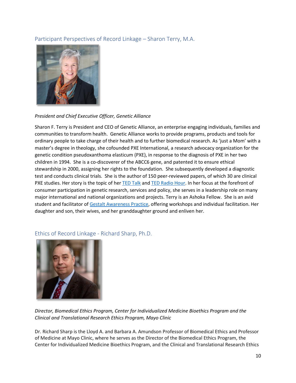#### <span id="page-10-0"></span>Participant Perspectives of Record Linkage – Sharon Terry, M.A.



#### *President and Chief Executive Officer, Genetic Alliance*

Sharon F. Terry is President and CEO of Genetic Alliance, an enterprise engaging individuals, families and communities to transform health. Genetic Alliance works to provide programs, products and tools for ordinary people to take charge of their health and to further biomedical research. As 'just a Mom' with a master's degree in theology, she cofounded PXE International, a research advocacy organization for the genetic condition pseudoxanthoma elasticum (PXE), in response to the diagnosis of PXE in her two children in 1994. She is a co-discoverer of the ABCC6 gene, and patented it to ensure ethical stewardship in 2000, assigning her rights to the foundation. She subsequently developed a diagnostic test and conducts clinical trials. She is the author of 150 peer-reviewed papers, of which 30 are clinical PXE studies. Her story is the topic of her [TED Talk](https://www.ted.com/talks/sharon_terry_science_didn_t_understand_my_kids_rare_disease_until_i_decided_to_study_it) and [TED Radio Hour.](http://n.pr/2wmMjAf) In her focus at the forefront of consumer participation in genetic research, services and policy, she serves in a leadership role on many major international and national organizations and projects. Terry is an Ashoka Fellow. She is an avid student and facilitator o[f Gestalt Awareness Practice,](http://tribalground.com/) offering workshops and individual facilitation. Her daughter and son, their wives, and her granddaughter ground and enliven her.



#### <span id="page-10-1"></span>Ethics of Record Linkage - Richard Sharp, Ph.D.

*Director, Biomedical Ethics Program, Center for Individualized Medicine Bioethics Program and the Clinical and Translational Research Ethics Program, Mayo Clinic*

Dr. Richard Sharp is the Lloyd A. and Barbara A. Amundson Professor of Biomedical Ethics and Professor of Medicine at Mayo Clinic, where he serves as the Director of the Biomedical Ethics Program, the Center for Individualized Medicine Bioethics Program, and the Clinical and Translational Research Ethics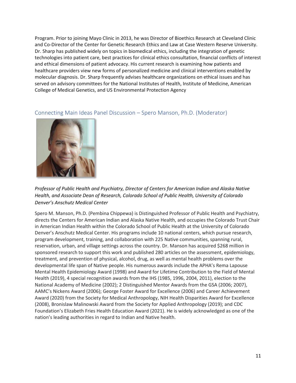Program. Prior to joining Mayo Clinic in 2013, he was Director of Bioethics Research at Cleveland Clinic and Co-Director of the Center for Genetic Research Ethics and Law at Case Western Reserve University. Dr. Sharp has published widely on topics in biomedical ethics, including the integration of genetic technologies into patient care, best practices for clinical ethics consultation, financial conflicts of interest and ethical dimensions of patient advocacy. His current research is examining how patients and healthcare providers view new forms of personalized medicine and clinical interventions enabled by molecular diagnosis. Dr. Sharp frequently advises healthcare organizations on ethical issues and has served on advisory committees for the National Institutes of Health, Institute of Medicine, American College of Medical Genetics, and US Environmental Protection Agency



#### <span id="page-11-0"></span>Connecting Main Ideas Panel Discussion – Spero Manson, Ph.D. (Moderator)

*Professor of Public Health and Psychiatry, Director of Centers for American Indian and Alaska Native Health, and Associate Dean of Research, Colorado School of Public Health, University of Colorado Denver's Anschutz Medical Center*

Spero M. Manson, Ph.D. (Pembina Chippewa) is Distinguished Professor of Public Health and Psychiatry, directs the Centers for American Indian and Alaska Native Health, and occupies the Colorado Trust Chair in American Indian Health within the Colorado School of Public Health at the University of Colorado Denver's Anschutz Medical Center. His programs include 10 national centers, which pursue research, program development, training, and collaboration with 225 Native communities, spanning rural, reservation, urban, and village settings across the country. Dr. Manson has acquired \$268 million in sponsored research to support this work and published 280 articles on the assessment, epidemiology, treatment, and prevention of physical, alcohol, drug, as well as mental health problems over the developmental life span of Native people. His numerous awards include the APHA's Rema Lapouse Mental Health Epidemiology Award (1998) and Award for Lifetime Contribution to the Field of Mental Health (2019), 4 special recognition awards from the IHS (1985, 1996, 2004, 2011), election to the National Academy of Medicine (2002); 2 Distinguished Mentor Awards from the GSA (2006; 2007), AAMC's Nickens Award (2006); George Foster Award for Excellence (2006) and Career Achievement Award (2020) from the Society for Medical Anthropology, NIH Health Disparities Award for Excellence (2008), Bronislaw Malinowski Award from the Society for Applied Anthropology (2019); and CDC Foundation's Elizabeth Fries Health Education Award (2021). He is widely acknowledged as one of the nation's leading authorities in regard to Indian and Native health.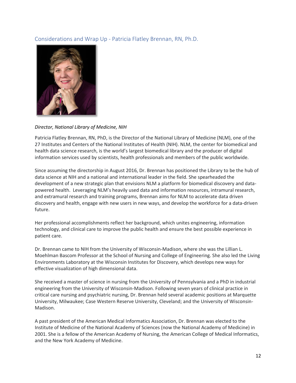### <span id="page-12-0"></span>Considerations and Wrap Up - Patricia Flatley Brennan, RN, Ph.D.



#### *Director, National Library of Medicine, NIH*

Patricia Flatley Brennan, RN, PhD, is the Director of the National Library of Medicine (NLM), one of the 27 Institutes and Centers of the National Institutes of Health (NIH). NLM, the center for biomedical and health data science research, is the world's largest biomedical library and the producer of digital information services used by scientists, health professionals and members of the public worldwide.

Since assuming the directorship in August 2016, Dr. Brennan has positioned the Library to be the hub of data science at NIH and a national and international leader in the field. She spearheaded the development of a new strategic plan that envisions NLM a platform for biomedical discovery and datapowered health. Leveraging NLM's heavily used data and information resources, intramural research, and extramural research and training programs, Brennan aims for NLM to accelerate data driven discovery and health, engage with new users in new ways, and develop the workforce for a data-driven future.

Her professional accomplishments reflect her background, which unites engineering, information technology, and clinical care to improve the public health and ensure the best possible experience in patient care.

Dr. Brennan came to NIH from the University of Wisconsin-Madison, where she was the Lillian L. Moehlman Bascom Professor at the School of Nursing and College of Engineering. She also led the Living Environments Laboratory at the Wisconsin Institutes for Discovery, which develops new ways for effective visualization of high dimensional data.

She received a master of science in nursing from the University of Pennsylvania and a PhD in industrial engineering from the University of Wisconsin-Madison. Following seven years of clinical practice in critical care nursing and psychiatric nursing, Dr. Brennan held several academic positions at Marquette University, Milwaukee; Case Western Reserve University, Cleveland; and the University of Wisconsin-Madison.

A past president of the American Medical Informatics Association, Dr. Brennan was elected to the Institute of Medicine of the National Academy of Sciences (now the National Academy of Medicine) in 2001. She is a fellow of the American Academy of Nursing, the American College of Medical Informatics, and the New York Academy of Medicine.